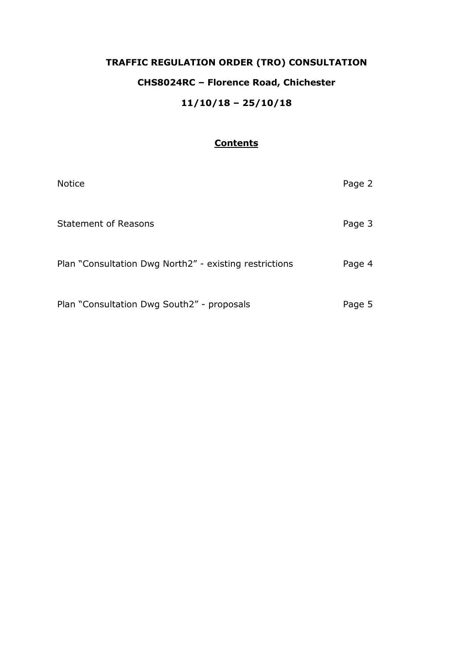# **TRAFFIC REGULATION ORDER (TRO) CONSULTATION CHS8024RC – Florence Road, Chichester 11/10/18 – 25/10/18**

## **Contents**

| <b>Notice</b>                                          | Page 2 |
|--------------------------------------------------------|--------|
| <b>Statement of Reasons</b>                            | Page 3 |
| Plan "Consultation Dwg North2" - existing restrictions | Page 4 |
| Plan "Consultation Dwg South2" - proposals             | Page 5 |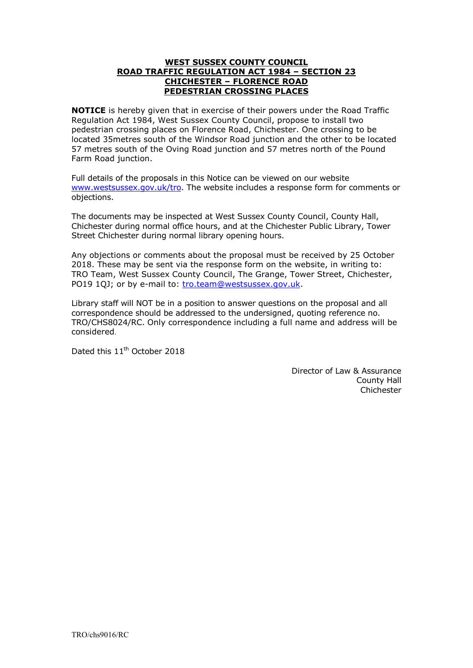#### **WEST SUSSEX COUNTY COUNCIL ROAD TRAFFIC REGULATION ACT 1984 – SECTION 23 CHICHESTER – FLORENCE ROAD PEDESTRIAN CROSSING PLACES**

**NOTICE** is hereby given that in exercise of their powers under the Road Traffic Regulation Act 1984, West Sussex County Council, propose to install two pedestrian crossing places on Florence Road, Chichester. One crossing to be located 35metres south of the Windsor Road junction and the other to be located 57 metres south of the Oving Road junction and 57 metres north of the Pound Farm Road junction.

Full details of the proposals in this Notice can be viewed on our website [www.westsussex.gov.uk/tro.](http://www.westsussex.gov.uk/tro) The website includes a response form for comments or objections.

The documents may be inspected at West Sussex County Council, County Hall, Chichester during normal office hours, and at the Chichester Public Library, Tower Street Chichester during normal library opening hours.

Any objections or comments about the proposal must be received by 25 October 2018. These may be sent via the response form on the website, in writing to: TRO Team, West Sussex County Council, The Grange, Tower Street, Chichester, PO19 1QJ; or by e-mail to: [tro.team@westsussex.gov.uk.](mailto:tro.team@westsussex.gov.uk)

Library staff will NOT be in a position to answer questions on the proposal and all correspondence should be addressed to the undersigned, quoting reference no. TRO/CHS8024/RC. Only correspondence including a full name and address will be considered.

Dated this  $11<sup>th</sup>$  October 2018

Director of Law & Assurance County Hall Chichester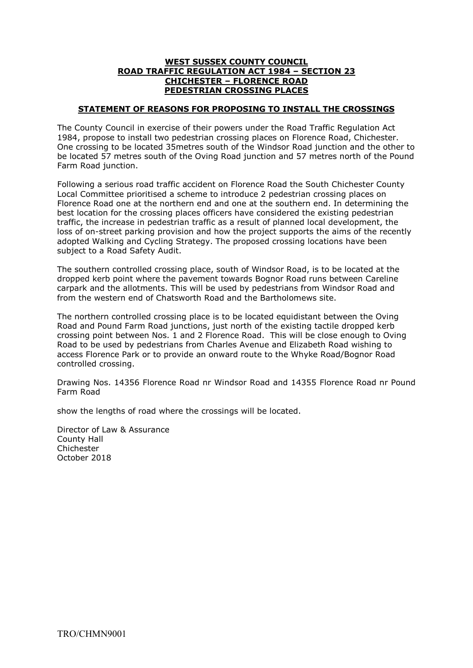#### **WEST SUSSEX COUNTY COUNCIL ROAD TRAFFIC REGULATION ACT 1984 – SECTION 23 CHICHESTER – FLORENCE ROAD PEDESTRIAN CROSSING PLACES**

### **STATEMENT OF REASONS FOR PROPOSING TO INSTALL THE CROSSINGS**

The County Council in exercise of their powers under the Road Traffic Regulation Act 1984, propose to install two pedestrian crossing places on Florence Road, Chichester. One crossing to be located 35metres south of the Windsor Road junction and the other to be located 57 metres south of the Oving Road junction and 57 metres north of the Pound Farm Road junction.

Following a serious road traffic accident on Florence Road the South Chichester County Local Committee prioritised a scheme to introduce 2 pedestrian crossing places on Florence Road one at the northern end and one at the southern end. In determining the best location for the crossing places officers have considered the existing pedestrian traffic, the increase in pedestrian traffic as a result of planned local development, the loss of on-street parking provision and how the project supports the aims of the recently adopted Walking and Cycling Strategy. The proposed crossing locations have been subject to a Road Safety Audit.

The southern controlled crossing place, south of Windsor Road, is to be located at the dropped kerb point where the pavement towards Bognor Road runs between Careline carpark and the allotments. This will be used by pedestrians from Windsor Road and from the western end of Chatsworth Road and the Bartholomews site.

The northern controlled crossing place is to be located equidistant between the Oving Road and Pound Farm Road junctions, just north of the existing tactile dropped kerb crossing point between Nos. 1 and 2 Florence Road. This will be close enough to Oving Road to be used by pedestrians from Charles Avenue and Elizabeth Road wishing to access Florence Park or to provide an onward route to the Whyke Road/Bognor Road controlled crossing.

Drawing Nos. 14356 Florence Road nr Windsor Road and 14355 Florence Road nr Pound Farm Road

show the lengths of road where the crossings will be located.

Director of Law & Assurance County Hall Chichester October 2018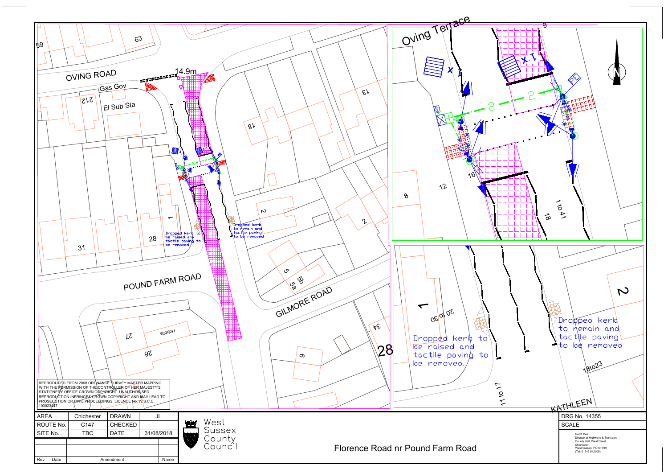